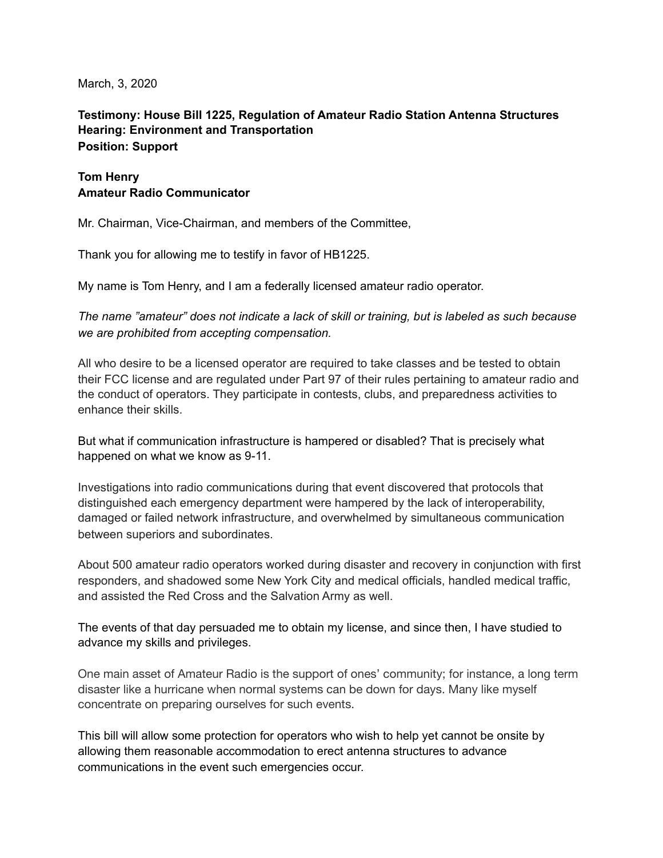March, 3, 2020

## **Testimony: House Bill 1225, Regulation of Amateur Radio Station Antenna Structures Hearing: Environment and Transportation Position: Support**

## **Tom Henry Amateur Radio Communicator**

Mr. Chairman, Vice-Chairman, and members of the Committee,

Thank you for allowing me to testify in favor of HB1225.

My name is Tom Henry, and I am a federally licensed amateur radio operator.

*The name "amateur" does not indicate a lack of skill or training, but is labeled as such because we are prohibited from accepting compensation.* 

All who desire to be a licensed operator are required to take classes and be tested to obtain their FCC license and are regulated under Part 97 of their [rules](https://en.wikipedia.org/wiki/Law) pertaining to [amateur radio](https://en.wikipedia.org/wiki/Amateur_radio) and the conduct of operators. They participate in contests, clubs, and preparedness activities to enhance their skills.

But what if communication infrastructure is hampered or disabled? That is precisely what happened on what we know as 9-11.

Investigations into radio communications during that event discovered that protocols that distinguished each emergency department were hampered by the lack of interoperability, damaged or failed network infrastructure, and overwhelmed by simultaneous communication between superiors and subordinates.

About 500 amateur radio operators worked during disaster and recovery in conjunction with first responders, and shadowed some New York City and medical officials, handled medical traffic, and assisted the Red Cross and the Salvation Army as well.

The events of that day persuaded me to obtain my license, and since then, I have studied to advance my skills and privileges.

One main asset of Amateur Radio is the support of ones' community; for instance, a long term disaster like a hurricane when normal systems can be down for days. Many like myself concentrate on preparing ourselves for such events.

This bill will allow some protection for operators who wish to help yet cannot be onsite by allowing them reasonable accommodation to erect antenna structures to advance communications in the event such emergencies occur.